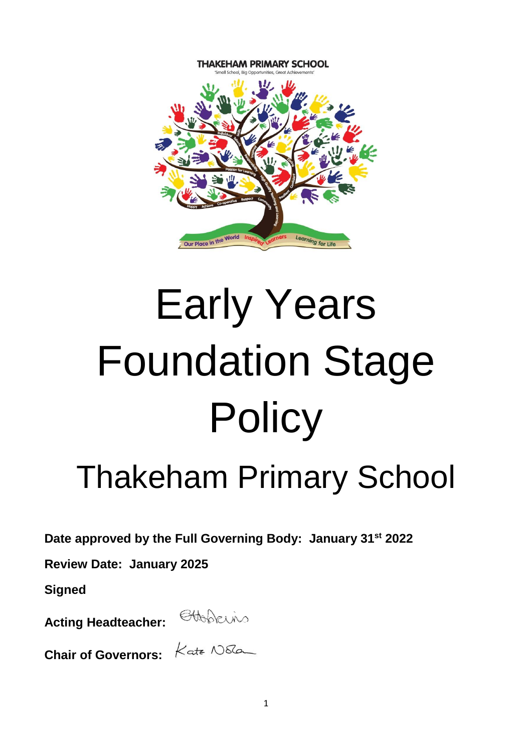

# Early Years Foundation Stage **Policy**

# Thakeham Primary School

**Date approved by the Full Governing Body: January 31st 2022**

**Review Date: January 2025**

**Signed**

**Acting Headteacher:** 



**Chair of Governors:** 

| Kate Nota |
|-----------|
|           |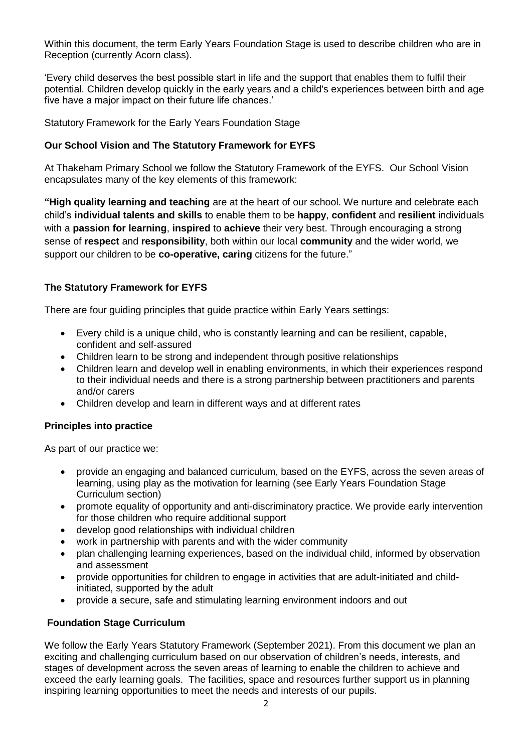Within this document, the term Early Years Foundation Stage is used to describe children who are in Reception (currently Acorn class).

'Every child deserves the best possible start in life and the support that enables them to fulfil their potential. Children develop quickly in the early years and a child's experiences between birth and age five have a major impact on their future life chances.'

Statutory Framework for the Early Years Foundation Stage

#### **Our School Vision and The Statutory Framework for EYFS**

At Thakeham Primary School we follow the Statutory Framework of the EYFS. Our School Vision encapsulates many of the key elements of this framework:

**"High quality learning and teaching** are at the heart of our school. We nurture and celebrate each child's **individual talents and skills** to enable them to be **happy**, **confident** and **resilient** individuals with a **passion for learning**, **inspired** to **achieve** their very best. Through encouraging a strong sense of **respect** and **responsibility**, both within our local **community** and the wider world, we support our children to be **co-operative, caring** citizens for the future."

### **The Statutory Framework for EYFS**

There are four guiding principles that guide practice within Early Years settings:

- Every child is a unique child, who is constantly learning and can be resilient, capable, confident and self-assured
- Children learn to be strong and independent through positive relationships
- Children learn and develop well in enabling environments, in which their experiences respond to their individual needs and there is a strong partnership between practitioners and parents and/or carers
- Children develop and learn in different ways and at different rates

#### **Principles into practice**

As part of our practice we:

- provide an engaging and balanced curriculum, based on the EYFS, across the seven areas of learning, using play as the motivation for learning (see Early Years Foundation Stage Curriculum section)
- promote equality of opportunity and anti-discriminatory practice. We provide early intervention for those children who require additional support
- develop good relationships with individual children
- work in partnership with parents and with the wider community
- plan challenging learning experiences, based on the individual child, informed by observation and assessment
- provide opportunities for children to engage in activities that are adult-initiated and childinitiated, supported by the adult
- provide a secure, safe and stimulating learning environment indoors and out

# **Foundation Stage Curriculum**

We follow the Early Years Statutory Framework (September 2021). From this document we plan an exciting and challenging curriculum based on our observation of children's needs, interests, and stages of development across the seven areas of learning to enable the children to achieve and exceed the early learning goals. The facilities, space and resources further support us in planning inspiring learning opportunities to meet the needs and interests of our pupils.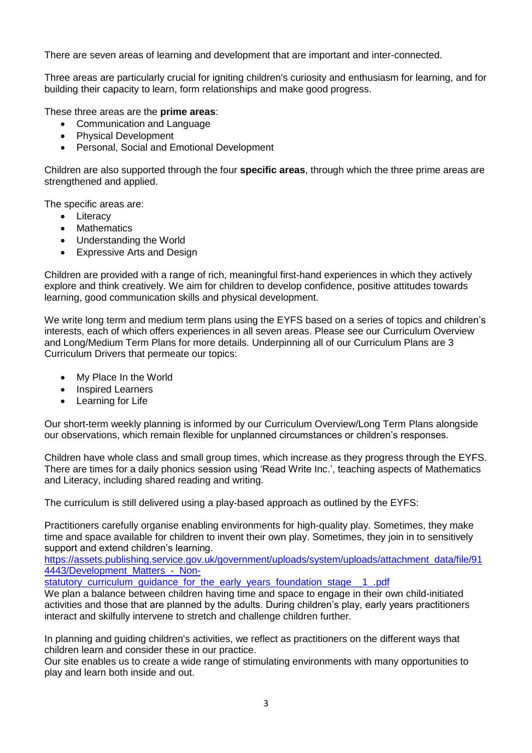There are seven areas of learning and development that are important and inter-connected.

Three areas are particularly crucial for igniting children's curiosity and enthusiasm for learning, and for building their capacity to learn, form relationships and make good progress.

These three areas are the **prime areas**:

- Communication and Language
- Physical Development
- Personal, Social and Emotional Development

Children are also supported through the four **specific areas**, through which the three prime areas are strengthened and applied.

The specific areas are:

- Literacy
- Mathematics
- Understanding the World
- Expressive Arts and Design

Children are provided with a range of rich, meaningful first-hand experiences in which they actively explore and think creatively. We aim for children to develop confidence, positive attitudes towards learning, good communication skills and physical development.

We write long term and medium term plans using the EYFS based on a series of topics and children's interests, each of which offers experiences in all seven areas. Please see our Curriculum Overview and Long/Medium Term Plans for more details. Underpinning all of our Curriculum Plans are 3 Curriculum Drivers that permeate our topics:

- My Place In the World
- Inspired Learners
- Learning for Life

Our short-term weekly planning is informed by our Curriculum Overview/Long Term Plans alongside our observations, which remain flexible for unplanned circumstances or children's responses.

Children have whole class and small group times, which increase as they progress through the EYFS. There are times for a daily phonics session using 'Read Write Inc.', teaching aspects of Mathematics and Literacy, including shared reading and writing.

The curriculum is still delivered using a play-based approach as outlined by the EYFS:

Practitioners carefully organise enabling environments for high-quality play. Sometimes, they make time and space available for children to invent their own play. Sometimes, they join in to sensitively support and extend children's learning.

[https://assets.publishing.service.gov.uk/government/uploads/system/uploads/attachment\\_data/file/91](https://assets.publishing.service.gov.uk/government/uploads/system/uploads/attachment_data/file/914443/Development_Matters_-_Non-statutory_curriculum_guidance_for_the_early_years_foundation_stage__1_.pdf) 4443/Development\_Matters - Non-

statutory curriculum quidance for the early years foundation stage 1 .pdf

We plan a balance between children having time and space to engage in their own child-initiated activities and those that are planned by the adults. During children's play, early years practitioners interact and skilfully intervene to stretch and challenge children further.

In planning and guiding children's activities, we reflect as practitioners on the different ways that children learn and consider these in our practice.

Our site enables us to create a wide range of stimulating environments with many opportunities to play and learn both inside and out.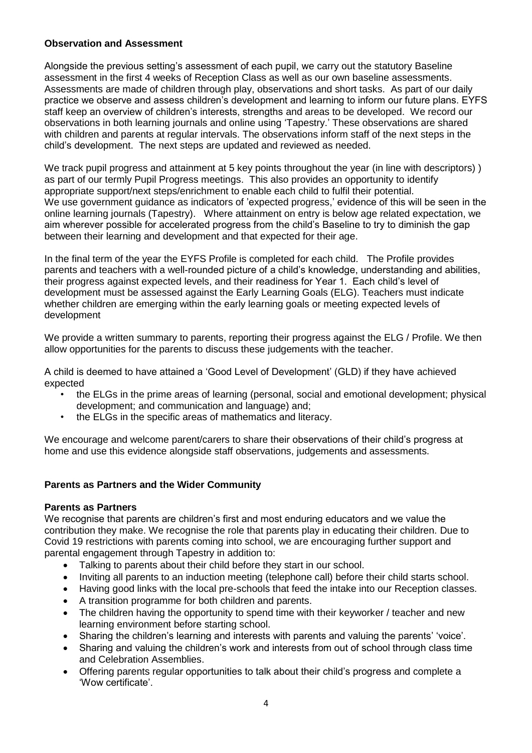### **Observation and Assessment**

Alongside the previous setting's assessment of each pupil, we carry out the statutory Baseline assessment in the first 4 weeks of Reception Class as well as our own baseline assessments. Assessments are made of children through play, observations and short tasks. As part of our daily practice we observe and assess children's development and learning to inform our future plans. EYFS staff keep an overview of children's interests, strengths and areas to be developed. We record our observations in both learning journals and online using 'Tapestry.' These observations are shared with children and parents at regular intervals. The observations inform staff of the next steps in the child's development. The next steps are updated and reviewed as needed.

We track pupil progress and attainment at 5 key points throughout the year (in line with descriptors) ) as part of our termly Pupil Progress meetings. This also provides an opportunity to identify appropriate support/next steps/enrichment to enable each child to fulfil their potential. We use government guidance as indicators of 'expected progress,' evidence of this will be seen in the online learning journals (Tapestry). Where attainment on entry is below age related expectation, we aim wherever possible for accelerated progress from the child's Baseline to try to diminish the gap between their learning and development and that expected for their age.

In the final term of the year the EYFS Profile is completed for each child. The Profile provides parents and teachers with a well-rounded picture of a child's knowledge, understanding and abilities, their progress against expected levels, and their readiness for Year 1. Each child's level of development must be assessed against the Early Learning Goals (ELG). Teachers must indicate whether children are emerging within the early learning goals or meeting expected levels of development

We provide a written summary to parents, reporting their progress against the ELG / Profile. We then allow opportunities for the parents to discuss these judgements with the teacher.

A child is deemed to have attained a 'Good Level of Development' (GLD) if they have achieved expected

- the ELGs in the prime areas of learning (personal, social and emotional development; physical development; and communication and language) and;
- the ELGs in the specific areas of mathematics and literacy.

We encourage and welcome parent/carers to share their observations of their child's progress at home and use this evidence alongside staff observations, judgements and assessments.

# **Parents as Partners and the Wider Community**

#### **Parents as Partners**

We recognise that parents are children's first and most enduring educators and we value the contribution they make. We recognise the role that parents play in educating their children. Due to Covid 19 restrictions with parents coming into school, we are encouraging further support and parental engagement through Tapestry in addition to:

- Talking to parents about their child before they start in our school.
- Inviting all parents to an induction meeting (telephone call) before their child starts school.
- Having good links with the local pre-schools that feed the intake into our Reception classes.
- A transition programme for both children and parents.
- The children having the opportunity to spend time with their keyworker / teacher and new learning environment before starting school.
- Sharing the children's learning and interests with parents and valuing the parents' 'voice'.
- Sharing and valuing the children's work and interests from out of school through class time and Celebration Assemblies.
- Offering parents regular opportunities to talk about their child's progress and complete a 'Wow certificate'.